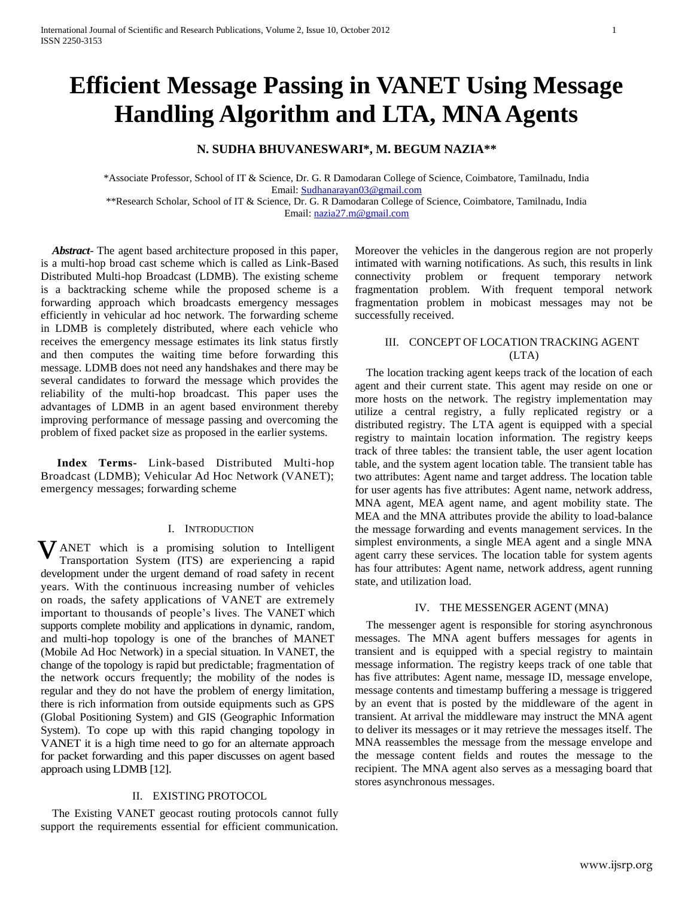# **Efficient Message Passing in VANET Using Message Handling Algorithm and LTA, MNA Agents**

## **N. SUDHA BHUVANESWARI\*, M. BEGUM NAZIA\*\***

\*Associate Professor, School of IT & Science, Dr. G. R Damodaran College of Science, Coimbatore, Tamilnadu, India Email: [Sudhanarayan03@gmail.com](mailto:Sudhanarayan03@gmail.com)

\*\*Research Scholar, School of IT & Science, Dr. G. R Damodaran College of Science, Coimbatore, Tamilnadu, India Email: [nazia27.m@gmail.com](mailto:nazia27.m@gmail.com)

 *Abstract-* The agent based architecture proposed in this paper, is a multi-hop broad cast scheme which is called as Link-Based Distributed Multi-hop Broadcast (LDMB). The existing scheme is a backtracking scheme while the proposed scheme is a forwarding approach which broadcasts emergency messages efficiently in vehicular ad hoc network. The forwarding scheme in LDMB is completely distributed, where each vehicle who receives the emergency message estimates its link status firstly and then computes the waiting time before forwarding this message. LDMB does not need any handshakes and there may be several candidates to forward the message which provides the reliability of the multi-hop broadcast. This paper uses the advantages of LDMB in an agent based environment thereby improving performance of message passing and overcoming the problem of fixed packet size as proposed in the earlier systems.

 **Index Terms-** Link-based Distributed Multi-hop Broadcast (LDMB); Vehicular Ad Hoc Network (VANET); emergency messages; forwarding scheme

#### I. INTRODUCTION

ANET which is a promising solution to Intelligent Transportation System (ITS) are experiencing a rapid development under the urgent demand of road safety in recent years. With the continuous increasing number of vehicles on roads, the safety applications of VANET are extremely important to thousands of people's lives. The VANET which supports complete mobility and applications in dynamic, random, and multi-hop topology is one of the branches of MANET (Mobile Ad Hoc Network) in a special situation. In VANET, the change of the topology is rapid but predictable; fragmentation of the network occurs frequently; the mobility of the nodes is regular and they do not have the problem of energy limitation, there is rich information from outside equipments such as GPS (Global Positioning System) and GIS (Geographic Information System). To cope up with this rapid changing topology in VANET it is a high time need to go for an alternate approach for packet forwarding and this paper discusses on agent based approach using LDMB [12]. v

#### II. EXISTING PROTOCOL

 The Existing VANET geocast routing protocols cannot fully support the requirements essential for efficient communication. Moreover the vehicles in the dangerous region are not properly intimated with warning notifications. As such, this results in link connectivity problem or frequent temporary network fragmentation problem. With frequent temporal network fragmentation problem in mobicast messages may not be successfully received.

## III. CONCEPT OF LOCATION TRACKING AGENT (LTA)

 The location tracking agent keeps track of the location of each agent and their current state. This agent may reside on one or more hosts on the network. The registry implementation may utilize a central registry, a fully replicated registry or a distributed registry. The LTA agent is equipped with a special registry to maintain location information. The registry keeps track of three tables: the transient table, the user agent location table, and the system agent location table. The transient table has two attributes: Agent name and target address. The location table for user agents has five attributes: Agent name, network address, MNA agent, MEA agent name, and agent mobility state. The MEA and the MNA attributes provide the ability to load-balance the message forwarding and events management services. In the simplest environments, a single MEA agent and a single MNA agent carry these services. The location table for system agents has four attributes: Agent name, network address, agent running state, and utilization load.

#### IV. THE MESSENGER AGENT (MNA)

 The messenger agent is responsible for storing asynchronous messages. The MNA agent buffers messages for agents in transient and is equipped with a special registry to maintain message information. The registry keeps track of one table that has five attributes: Agent name, message ID, message envelope, message contents and timestamp buffering a message is triggered by an event that is posted by the middleware of the agent in transient. At arrival the middleware may instruct the MNA agent to deliver its messages or it may retrieve the messages itself. The MNA reassembles the message from the message envelope and the message content fields and routes the message to the recipient. The MNA agent also serves as a messaging board that stores asynchronous messages.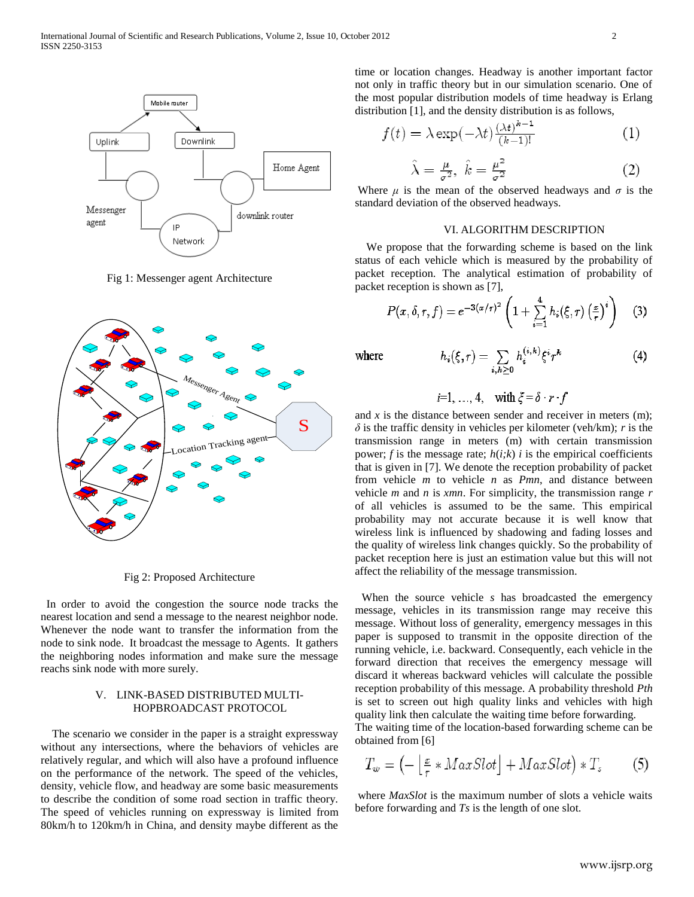

Fig 1: Messenger agent Architecture



Fig 2: Proposed Architecture

 In order to avoid the congestion the source node tracks the nearest location and send a message to the nearest neighbor node. Whenever the node want to transfer the information from the node to sink node. It broadcast the message to Agents. It gathers the neighboring nodes information and make sure the message reachs sink node with more surely.

#### V. LINK-BASED DISTRIBUTED MULTI-HOPBROADCAST PROTOCOL

 The scenario we consider in the paper is a straight expressway without any intersections, where the behaviors of vehicles are relatively regular, and which will also have a profound influence on the performance of the network. The speed of the vehicles, density, vehicle flow, and headway are some basic measurements to describe the condition of some road section in traffic theory. The speed of vehicles running on expressway is limited from 80km/h to 120km/h in China, and density maybe different as the

time or location changes. Headway is another important factor not only in traffic theory but in our simulation scenario. One of the most popular distribution models of time headway is Erlang distribution [1], and the density distribution is as follows,

$$
f(t) = \lambda \exp(-\lambda t) \frac{(\lambda t)^{k-1}}{(k-1)!}
$$
 (1)

$$
\hat{\lambda} = \frac{\mu}{\sigma^2}, \ \hat{k} = \frac{\mu^2}{\sigma^2} \tag{2}
$$

Where  $\mu$  is the mean of the observed headways and  $\sigma$  is the standard deviation of the observed headways.

#### VI. ALGORITHM DESCRIPTION

 We propose that the forwarding scheme is based on the link status of each vehicle which is measured by the probability of packet reception. The analytical estimation of probability of packet reception is shown as [7],

$$
P(x,\delta,\tau,f) = e^{-3(x/\tau)^2} \left(1 + \sum_{i=1}^4 h_i(\xi,\tau) \left(\frac{x}{\tau}\right)^i \right) \quad (3)
$$

where

$$
h_i(\xi,r)=\sum_{i,k\geq 0}h_i^{(i,k)}\xi^i r^k
$$

$$
i=1, ..., 4
$$
, with  $\xi = \delta \cdot r \cdot f$ 

and  $x$  is the distance between sender and receiver in meters  $(m)$ ;  $\delta$  is the traffic density in vehicles per kilometer (veh/km); *r* is the transmission range in meters (m) with certain transmission power;  $f$  is the message rate;  $h(i;k)$  *i* is the empirical coefficients that is given in [7]. We denote the reception probability of packet from vehicle *m* to vehicle *n* as *Pmn*, and distance between vehicle *m* and *n* is *xmn*. For simplicity, the transmission range *r*  of all vehicles is assumed to be the same. This empirical probability may not accurate because it is well know that wireless link is influenced by shadowing and fading losses and the quality of wireless link changes quickly. So the probability of packet reception here is just an estimation value but this will not affect the reliability of the message transmission.

 When the source vehicle *s* has broadcasted the emergency message, vehicles in its transmission range may receive this message. Without loss of generality, emergency messages in this paper is supposed to transmit in the opposite direction of the running vehicle, i.e. backward. Consequently, each vehicle in the forward direction that receives the emergency message will discard it whereas backward vehicles will calculate the possible reception probability of this message. A probability threshold *Pth*  is set to screen out high quality links and vehicles with high quality link then calculate the waiting time before forwarding.

The waiting time of the location-based forwarding scheme can be obtained from [6]

$$
T_w = \left(-\left\lfloor \frac{x}{r} * MaxSlot \right\rfloor + MaxSlot\right) * T_s \tag{5}
$$

where *MaxSlot* is the maximum number of slots a vehicle waits before forwarding and *Ts* is the length of one slot.

 $(4)$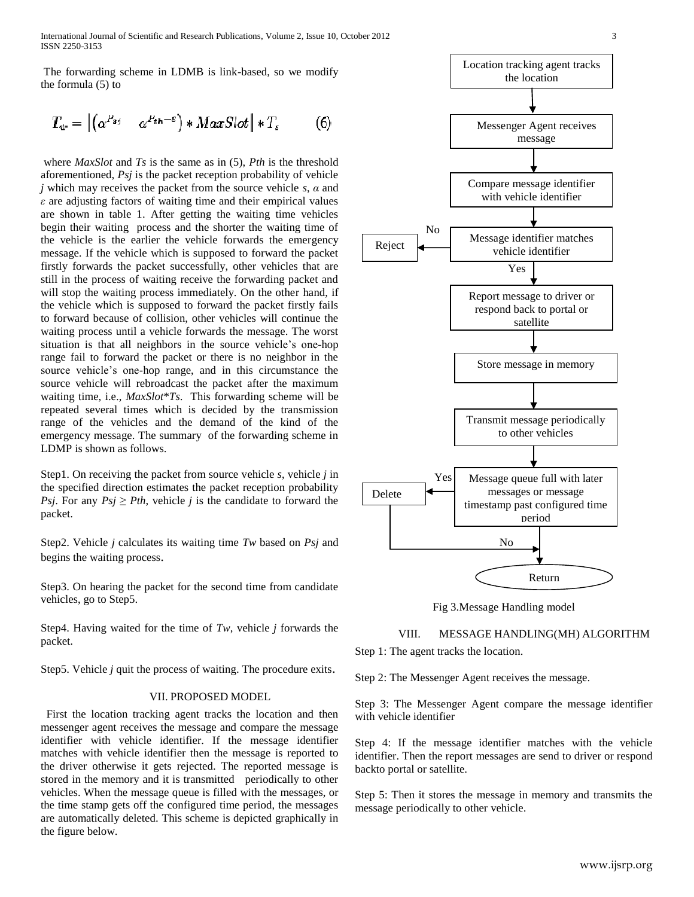International Journal of Scientific and Research Publications, Volume 2, Issue 10, October 2012 3 ISSN 2250-3153

The forwarding scheme in LDMB is link-based, so we modify the formula (5) to

$$
T_{w} = \left| \left( \alpha^{P_{sj}} \quad \alpha^{P_{th} - \varepsilon} \right) * MaxSlot \right| * T_{s} \tag{6}
$$

where *MaxSlot* and *Ts* is the same as in (5), *Pth* is the threshold aforementioned, *Psj* is the packet reception probability of vehicle *j* which may receives the packet from the source vehicle *s*, *α* and *ε* are adjusting factors of waiting time and their empirical values are shown in table 1. After getting the waiting time vehicles begin their waiting process and the shorter the waiting time of the vehicle is the earlier the vehicle forwards the emergency message. If the vehicle which is supposed to forward the packet firstly forwards the packet successfully, other vehicles that are still in the process of waiting receive the forwarding packet and will stop the waiting process immediately. On the other hand, if the vehicle which is supposed to forward the packet firstly fails to forward because of collision, other vehicles will continue the waiting process until a vehicle forwards the message. The worst situation is that all neighbors in the source vehicle's one-hop range fail to forward the packet or there is no neighbor in the source vehicle's one-hop range, and in this circumstance the source vehicle will rebroadcast the packet after the maximum waiting time, i.e., *MaxSlot*\**Ts*. This forwarding scheme will be repeated several times which is decided by the transmission range of the vehicles and the demand of the kind of the emergency message. The summary of the forwarding scheme in LDMP is shown as follows.

Step1. On receiving the packet from source vehicle *s*, vehicle *j* in the specified direction estimates the packet reception probability *Psj.* For any  $Psj \geq Pth$ , vehicle *j* is the candidate to forward the packet.

Step2. Vehicle *j* calculates its waiting time *Tw* based on *Psj* and begins the waiting process.

Step3. On hearing the packet for the second time from candidate vehicles, go to Step5.

Step4. Having waited for the time of *Tw*, vehicle *j* forwards the packet.

Step5. Vehicle *j* quit the process of waiting. The procedure exits.

### VII. PROPOSED MODEL

 First the location tracking agent tracks the location and then messenger agent receives the message and compare the message identifier with vehicle identifier. If the message identifier matches with vehicle identifier then the message is reported to the driver otherwise it gets rejected. The reported message is stored in the memory and it is transmitted periodically to other vehicles. When the message queue is filled with the messages, or the time stamp gets off the configured time period, the messages are automatically deleted. This scheme is depicted graphically in the figure below.



Fig 3.Message Handling model

VIII. MESSAGE HANDLING(MH) ALGORITHM

Step 1: The agent tracks the location.

Step 2: The Messenger Agent receives the message.

Step 3: The Messenger Agent compare the message identifier with vehicle identifier

Step 4: If the message identifier matches with the vehicle identifier. Then the report messages are send to driver or respond backto portal or satellite.

Step 5: Then it stores the message in memory and transmits the message periodically to other vehicle.